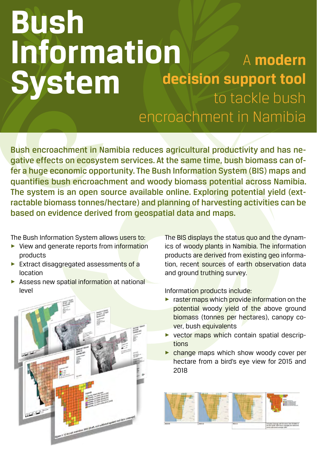# **Bush Information System**  A **modern decision support tool**  to tackle bush encroachment in Namibia

Bush encroachment in Namibia reduces agricultural productivity and has negative effects on ecosystem services. At the same time, bush biomass can offer a huge economic opportunity. The Bush Information System (BIS) maps and quantifies bush encroachment and woody biomass potential across Namibia. The system is an open source available online. Exploring potential yield (extractable biomass tonnes/hectare) and planning of harvesting activities can be based on evidence derived from geospatial data and maps.

The Bush Information System allows users to:

- $\triangleright$  View and generate reports from information products
- $\triangleright$  Extract disaggregated assessments of a location
- $\blacktriangleright$  Assess new spatial information at national level



The BIS displays the status quo and the dynamics of woody plants in Namibia. The information products are derived from existing geo information, recent sources of earth observation data and ground truthing survey.

Information products include:

- $\triangleright$  raster maps which provide information on the potential woody yield of the above ground biomass (tonnes per hectares), canopy cover, bush equivalents
- vector maps which contain spatial descriptions
- $\triangleright$  change maps which show woody cover per hectare from a bird's eye view for 2015 and 2018